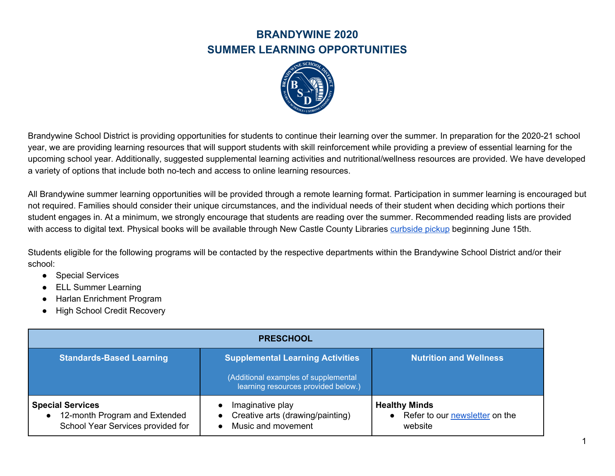

Brandywine School District is providing opportunities for students to continue their learning over the summer. In preparation for the 2020-21 school year, we are providing learning resources that will support students with skill reinforcement while providing a preview of essential learning for the upcoming school year. Additionally, suggested supplemental learning activities and nutritional/wellness resources are provided. We have developed a variety of options that include both no-tech and access to online learning resources.

All Brandywine summer learning opportunities will be provided through a remote learning format. Participation in summer learning is encouraged but not required. Families should consider their unique circumstances, and the individual needs of their student when deciding which portions their student engages in. At a minimum, we strongly encourage that students are reading over the summer. Recommended reading lists are provided with access to digital text. Physical books will be available through New Castle County Libraries [curbside](https://nccde.org/2055/Curbside-Pickup) pickup beginning June 15th.

Students eligible for the following programs will be contacted by the respective departments within the Brandywine School District and/or their school:

- Special Services
- ELL Summer Learning
- **Harlan Enrichment Program**
- High School Credit Recovery

| <b>PRESCHOOL</b>                                                                              |                                                                             |                                                                                |
|-----------------------------------------------------------------------------------------------|-----------------------------------------------------------------------------|--------------------------------------------------------------------------------|
| <b>Standards-Based Learning</b>                                                               | <b>Supplemental Learning Activities</b>                                     | <b>Nutrition and Wellness</b>                                                  |
|                                                                                               | (Additional examples of supplemental<br>learning resources provided below.) |                                                                                |
| <b>Special Services</b><br>12-month Program and Extended<br>School Year Services provided for | Imaginative play<br>Creative arts (drawing/painting)<br>Music and movement  | <b>Healthy Minds</b><br>Refer to our newsletter on the<br>$\bullet$<br>website |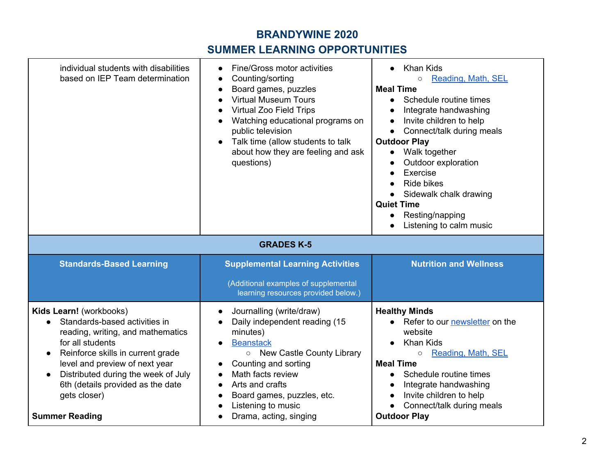## **BRANDYWINE 2020**

## **SUMMER LEARNING OPPORTUNITIES**

| individual students with disabilities<br>based on IEP Team determination                                                                                                                                                                                                                                                   | Fine/Gross motor activities<br>Counting/sorting<br>Board games, puzzles<br><b>Virtual Museum Tours</b><br>Virtual Zoo Field Trips<br>Watching educational programs on<br>public television<br>Talk time (allow students to talk<br>about how they are feeling and ask<br>questions)          | <b>Khan Kids</b><br>Reading, Math, SEL<br>$\circ$<br><b>Meal Time</b><br>Schedule routine times<br>$\bullet$<br>Integrate handwashing<br>$\bullet$<br>Invite children to help<br>$\bullet$<br>Connect/talk during meals<br>$\bullet$<br><b>Outdoor Play</b><br>Walk together<br>$\bullet$<br>Outdoor exploration<br>Exercise<br>$\bullet$<br><b>Ride bikes</b><br>Sidewalk chalk drawing<br><b>Quiet Time</b><br>Resting/napping<br>Listening to calm music |
|----------------------------------------------------------------------------------------------------------------------------------------------------------------------------------------------------------------------------------------------------------------------------------------------------------------------------|----------------------------------------------------------------------------------------------------------------------------------------------------------------------------------------------------------------------------------------------------------------------------------------------|-------------------------------------------------------------------------------------------------------------------------------------------------------------------------------------------------------------------------------------------------------------------------------------------------------------------------------------------------------------------------------------------------------------------------------------------------------------|
|                                                                                                                                                                                                                                                                                                                            | <b>GRADES K-5</b>                                                                                                                                                                                                                                                                            |                                                                                                                                                                                                                                                                                                                                                                                                                                                             |
| <b>Standards-Based Learning</b>                                                                                                                                                                                                                                                                                            | <b>Supplemental Learning Activities</b><br>(Additional examples of supplemental<br>learning resources provided below.)                                                                                                                                                                       | <b>Nutrition and Wellness</b>                                                                                                                                                                                                                                                                                                                                                                                                                               |
| Kids Learn! (workbooks)<br>Standards-based activities in<br>reading, writing, and mathematics<br>for all students<br>Reinforce skills in current grade<br>$\bullet$<br>level and preview of next year<br>Distributed during the week of July<br>6th (details provided as the date<br>gets closer)<br><b>Summer Reading</b> | Journalling (write/draw)<br>$\bullet$<br>Daily independent reading (15<br>minutes)<br><b>Beanstack</b><br>New Castle County Library<br>$\circ$<br>Counting and sorting<br>Math facts review<br>Arts and crafts<br>Board games, puzzles, etc.<br>Listening to music<br>Drama, acting, singing | <b>Healthy Minds</b><br>• Refer to our newsletter on the<br>website<br><b>Khan Kids</b><br>Reading, Math, SEL<br>$\circ$<br><b>Meal Time</b><br>Schedule routine times<br>$\bullet$<br>Integrate handwashing<br>$\bullet$<br>Invite children to help<br>Connect/talk during meals<br><b>Outdoor Play</b>                                                                                                                                                    |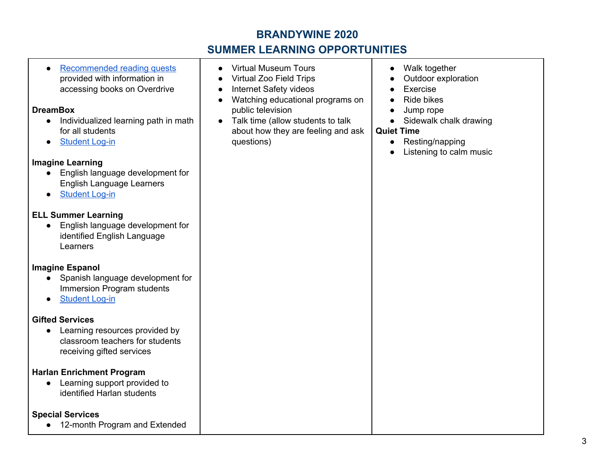## **BRANDYWINE 2020**

# **SUMMER LEARNING OPPORTUNITIES**

| Recommended reading quests<br>$\bullet$<br>provided with information in<br>accessing books on Overdrive<br><b>DreamBox</b><br>Individualized learning path in math<br>for all students<br><b>Student Log-in</b><br><b>Imagine Learning</b><br>English language development for<br><b>English Language Learners</b><br><b>Student Log-in</b><br>$\bullet$ | <b>Virtual Museum Tours</b><br><b>Virtual Zoo Field Trips</b><br>Internet Safety videos<br>Watching educational programs on<br>public television<br>Talk time (allow students to talk<br>$\bullet$<br>about how they are feeling and ask<br>questions) | Walk together<br>$\bullet$<br>Outdoor exploration<br>Exercise<br><b>Ride bikes</b><br>Jump rope<br>Sidewalk chalk drawing<br><b>Quiet Time</b><br>Resting/napping<br>$\bullet$<br>Listening to calm music<br>$\bullet$ |
|----------------------------------------------------------------------------------------------------------------------------------------------------------------------------------------------------------------------------------------------------------------------------------------------------------------------------------------------------------|--------------------------------------------------------------------------------------------------------------------------------------------------------------------------------------------------------------------------------------------------------|------------------------------------------------------------------------------------------------------------------------------------------------------------------------------------------------------------------------|
| <b>ELL Summer Learning</b><br>English language development for<br>$\bullet$<br>identified English Language<br>Learners                                                                                                                                                                                                                                   |                                                                                                                                                                                                                                                        |                                                                                                                                                                                                                        |
| <b>Imagine Espanol</b><br>Spanish language development for<br>Immersion Program students<br><b>Student Log-in</b><br>$\bullet$                                                                                                                                                                                                                           |                                                                                                                                                                                                                                                        |                                                                                                                                                                                                                        |
| <b>Gifted Services</b><br>Learning resources provided by<br>classroom teachers for students<br>receiving gifted services                                                                                                                                                                                                                                 |                                                                                                                                                                                                                                                        |                                                                                                                                                                                                                        |
| <b>Harlan Enrichment Program</b><br>Learning support provided to<br>identified Harlan students                                                                                                                                                                                                                                                           |                                                                                                                                                                                                                                                        |                                                                                                                                                                                                                        |
| <b>Special Services</b><br>12-month Program and Extended<br>$\bullet$                                                                                                                                                                                                                                                                                    |                                                                                                                                                                                                                                                        |                                                                                                                                                                                                                        |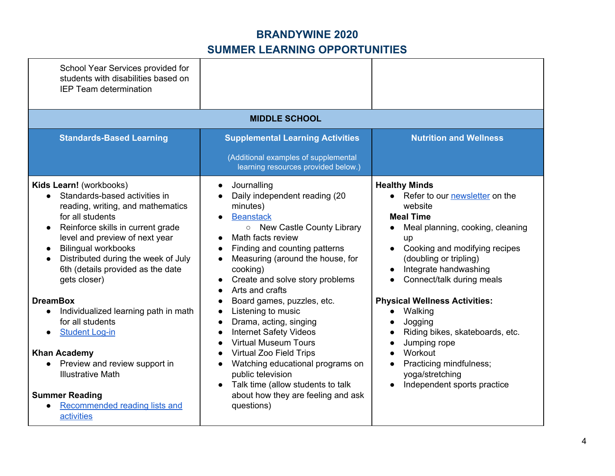| School Year Services provided for<br>students with disabilities based on<br><b>IEP Team determination</b>                                                                                                                                                                                                                                                                                                                                                                                                                                                                                                        |                                                                                                                                                                                                                                                                                                                                                                                                                                                                                                                                                                                                                                                                            |                                                                                                                                                                                                                                                                                                                                                                                                                                                                          |
|------------------------------------------------------------------------------------------------------------------------------------------------------------------------------------------------------------------------------------------------------------------------------------------------------------------------------------------------------------------------------------------------------------------------------------------------------------------------------------------------------------------------------------------------------------------------------------------------------------------|----------------------------------------------------------------------------------------------------------------------------------------------------------------------------------------------------------------------------------------------------------------------------------------------------------------------------------------------------------------------------------------------------------------------------------------------------------------------------------------------------------------------------------------------------------------------------------------------------------------------------------------------------------------------------|--------------------------------------------------------------------------------------------------------------------------------------------------------------------------------------------------------------------------------------------------------------------------------------------------------------------------------------------------------------------------------------------------------------------------------------------------------------------------|
|                                                                                                                                                                                                                                                                                                                                                                                                                                                                                                                                                                                                                  | <b>MIDDLE SCHOOL</b>                                                                                                                                                                                                                                                                                                                                                                                                                                                                                                                                                                                                                                                       |                                                                                                                                                                                                                                                                                                                                                                                                                                                                          |
| <b>Standards-Based Learning</b>                                                                                                                                                                                                                                                                                                                                                                                                                                                                                                                                                                                  | <b>Supplemental Learning Activities</b><br>(Additional examples of supplemental<br>learning resources provided below.)                                                                                                                                                                                                                                                                                                                                                                                                                                                                                                                                                     | <b>Nutrition and Wellness</b>                                                                                                                                                                                                                                                                                                                                                                                                                                            |
| Kids Learn! (workbooks)<br>Standards-based activities in<br>reading, writing, and mathematics<br>for all students<br>Reinforce skills in current grade<br>$\bullet$<br>level and preview of next year<br><b>Bilingual workbooks</b><br>Distributed during the week of July<br>6th (details provided as the date<br>gets closer)<br><b>DreamBox</b><br>Individualized learning path in math<br>$\bullet$<br>for all students<br><b>Student Log-in</b><br><b>Khan Academy</b><br>Preview and review support in<br><b>Illustrative Math</b><br><b>Summer Reading</b><br>Recommended reading lists and<br>activities | Journalling<br>$\bullet$<br>Daily independent reading (20<br>minutes)<br><b>Beanstack</b><br>$\bullet$<br>○ New Castle County Library<br>Math facts review<br>Finding and counting patterns<br>Measuring (around the house, for<br>cooking)<br>Create and solve story problems<br>Arts and crafts<br>Board games, puzzles, etc.<br>Listening to music<br>$\bullet$<br>Drama, acting, singing<br>$\bullet$<br><b>Internet Safety Videos</b><br><b>Virtual Museum Tours</b><br><b>Virtual Zoo Field Trips</b><br>Watching educational programs on<br>public television<br>Talk time (allow students to talk<br>$\bullet$<br>about how they are feeling and ask<br>questions) | <b>Healthy Minds</b><br>• Refer to our newsletter on the<br>website<br><b>Meal Time</b><br>Meal planning, cooking, cleaning<br>up<br>Cooking and modifying recipes<br>(doubling or tripling)<br>Integrate handwashing<br>Connect/talk during meals<br><b>Physical Wellness Activities:</b><br>Walking<br>$\bullet$<br>Jogging<br>Riding bikes, skateboards, etc.<br>Jumping rope<br>Workout<br>Practicing mindfulness;<br>yoga/stretching<br>Independent sports practice |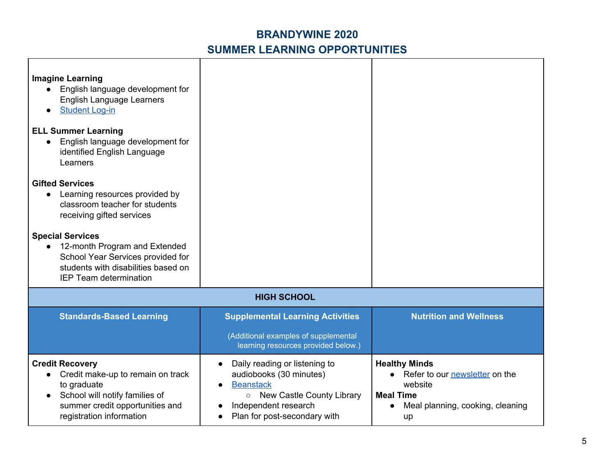| <b>Imagine Learning</b><br>English language development for<br><b>English Language Learners</b><br><b>Student Log-in</b><br><b>ELL Summer Learning</b><br>English language development for<br>identified English Language<br>Learners<br><b>Gifted Services</b><br>Learning resources provided by<br>$\bullet$<br>classroom teacher for students<br>receiving gifted services<br><b>Special Services</b><br>12-month Program and Extended<br>School Year Services provided for<br>students with disabilities based on<br><b>IEP Team determination</b> |                                                                                                                                                                                  |                                                                                                                                   |
|--------------------------------------------------------------------------------------------------------------------------------------------------------------------------------------------------------------------------------------------------------------------------------------------------------------------------------------------------------------------------------------------------------------------------------------------------------------------------------------------------------------------------------------------------------|----------------------------------------------------------------------------------------------------------------------------------------------------------------------------------|-----------------------------------------------------------------------------------------------------------------------------------|
|                                                                                                                                                                                                                                                                                                                                                                                                                                                                                                                                                        | <b>HIGH SCHOOL</b>                                                                                                                                                               |                                                                                                                                   |
| <b>Standards-Based Learning</b>                                                                                                                                                                                                                                                                                                                                                                                                                                                                                                                        | <b>Supplemental Learning Activities</b><br>(Additional examples of supplemental<br>learning resources provided below.)                                                           | <b>Nutrition and Wellness</b>                                                                                                     |
| <b>Credit Recovery</b><br>Credit make-up to remain on track<br>to graduate<br>School will notify families of<br>$\bullet$<br>summer credit opportunities and<br>registration information                                                                                                                                                                                                                                                                                                                                                               | Daily reading or listening to<br>$\bullet$<br>audiobooks (30 minutes)<br><b>Beanstack</b><br>○ New Castle County Library<br>Independent research<br>Plan for post-secondary with | <b>Healthy Minds</b><br>• Refer to our newsletter on the<br>website<br><b>Meal Time</b><br>Meal planning, cooking, cleaning<br>up |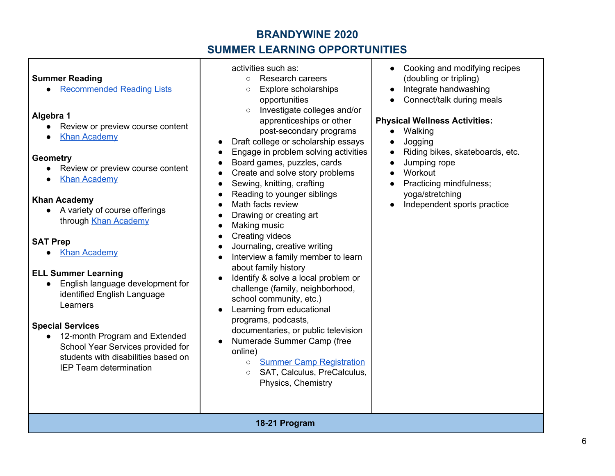## **BRANDYWINE 2020**

# **SUMMER LEARNING OPPORTUNITIES**

#### **Summer Reading**

● [Recommended](https://docs.google.com/document/d/10BXU82moS2rJYrQRm6SRCscZT52bSaI9nEG4FKzrPTQ/edit) Reading Lists

#### **Algebra 1**

- Review or preview course content
- Khan [Academy](https://www.khanacademy.org/math/algebra)

#### **Geometry**

- Review or preview course content
- **Khan [Academy](https://www.khanacademy.org/math/geometry)**

### **Khan Academy**

● A variety of course offerings through Khan [Academy](https://www.khanacademy.org/signup)

### **SAT Prep**

● Khan [Academy](https://www.khanacademy.org/test-prep/sat)

### **ELL Summer Learning**

● English language development for identified English Language Learners

### **Special Services**

● 12-month Program and Extended School Year Services provided for students with disabilities based on IEP Team determination

#### activities such as:

- Research careers
- Explore scholarships opportunities
- Investigate colleges and/or apprenticeships or other post-secondary programs
- Draft college or scholarship essays
- Engage in problem solving activities
- Board games, puzzles, cards
- Create and solve story problems
- Sewing, knitting, crafting
- Reading to younger siblings
- Math facts review
- Drawing or creating art
- Making music
- **Creating videos**
- Journaling, creative writing
- Interview a family member to learn about family history
- Identify & solve a local problem or challenge (family, neighborhood, school community, etc.)
- Learning from educational programs, podcasts, documentaries, or public television
- Numerade Summer Camp (free online)
	- Summer Camp [Registration](https://www.numerade.com/summer-camp/#prep_camp)
	- SAT, Calculus, PreCalculus, Physics, Chemistry
- Cooking and modifying recipes (doubling or tripling)
- Integrate handwashing
- Connect/talk during meals

### **Physical Wellness Activities:**

- Walking
- Jogging
- Riding bikes, skateboards, etc.
- Jumping rope
- Workout
- Practicing mindfulness: yoga/stretching
- Independent sports practice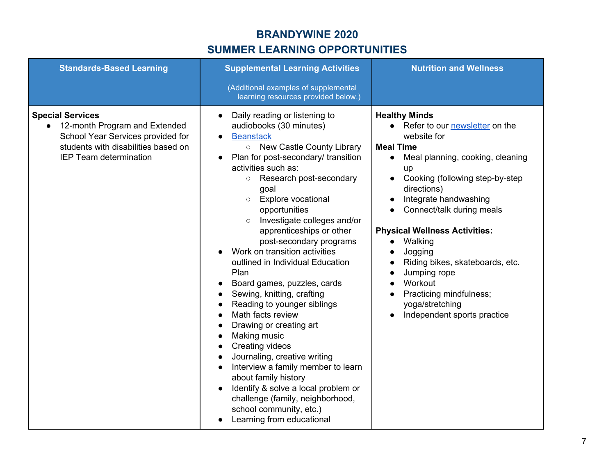| <b>Standards-Based Learning</b>                                                                                                                                         | <b>Supplemental Learning Activities</b><br>(Additional examples of supplemental<br>learning resources provided below.)                                                                                                                                                                                                                                                                                                                                                                                                                                                                                                                                                                                                                                                                                                                                                                                   | <b>Nutrition and Wellness</b>                                                                                                                                                                                                                                                                                                                                                                                                                                       |
|-------------------------------------------------------------------------------------------------------------------------------------------------------------------------|----------------------------------------------------------------------------------------------------------------------------------------------------------------------------------------------------------------------------------------------------------------------------------------------------------------------------------------------------------------------------------------------------------------------------------------------------------------------------------------------------------------------------------------------------------------------------------------------------------------------------------------------------------------------------------------------------------------------------------------------------------------------------------------------------------------------------------------------------------------------------------------------------------|---------------------------------------------------------------------------------------------------------------------------------------------------------------------------------------------------------------------------------------------------------------------------------------------------------------------------------------------------------------------------------------------------------------------------------------------------------------------|
| <b>Special Services</b><br>• 12-month Program and Extended<br>School Year Services provided for<br>students with disabilities based on<br><b>IEP Team determination</b> | Daily reading or listening to<br>$\bullet$<br>audiobooks (30 minutes)<br><b>Beanstack</b><br>o New Castle County Library<br>Plan for post-secondary/ transition<br>activities such as:<br>Research post-secondary<br>$\circ$<br>goal<br><b>Explore vocational</b><br>$\circ$<br>opportunities<br>Investigate colleges and/or<br>$\circ$<br>apprenticeships or other<br>post-secondary programs<br>Work on transition activities<br>outlined in Individual Education<br>Plan<br>Board games, puzzles, cards<br>Sewing, knitting, crafting<br>Reading to younger siblings<br>Math facts review<br>Drawing or creating art<br>Making music<br>Creating videos<br>Journaling, creative writing<br>Interview a family member to learn<br>about family history<br>Identify & solve a local problem or<br>challenge (family, neighborhood,<br>school community, etc.)<br>Learning from educational<br>$\bullet$ | <b>Healthy Minds</b><br>• Refer to our newsletter on the<br>website for<br><b>Meal Time</b><br>Meal planning, cooking, cleaning<br>$\bullet$<br>up<br>Cooking (following step-by-step<br>directions)<br>Integrate handwashing<br>Connect/talk during meals<br><b>Physical Wellness Activities:</b><br>Walking<br>Jogging<br>Riding bikes, skateboards, etc.<br>Jumping rope<br>Workout<br>Practicing mindfulness;<br>yoga/stretching<br>Independent sports practice |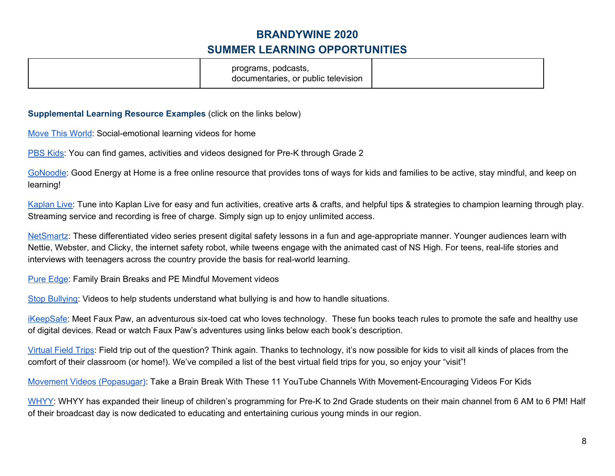|--|

#### **Supplemental Learning Resource Examples** (click on the links below)

Move This [World](https://www.movethisworld.com/supporting-mental-health-covid-19/sel-video-resources-for-home-free-access/): Social-emotional learning videos for home

[PBS](https://pbskids.org/) Kids: You can find games, activities and videos designed for Pre-K through Grade 2

[GoNoodle:](https://www.gonoodle.com/good-energy-at-home-kids-games-and-videos/) Good Energy at Home is a free online resource that provides tons of ways for kids and families to be active, stay mindful, and keep on learning!

[Kaplan](https://www.kaplanco.com/live?utm_source=bm23&utm_medium=email&utm_term=Read+More+%C2%BB&utm_content=Teri+Watch+FREE+Kaplan+Videos+to+Support+At-Home+Learning&utm_campaign=April+2020+-+Kaplan+LIVE+(Rachel+Larimore)&_bta_tid=38951384455476404090697936352319641324946130015854476299811541377280616526770032761438731324832175673393&_bta_c=i9as4obrzy7g76eidu1ofixzrsj8m) Live: Tune into Kaplan Live for easy and fun activities, creative arts & crafts, and helpful tips & strategies to champion learning through play. Streaming service and recording is free of charge. Simply sign up to enjoy unlimited access.

[NetSmartz:](https://www.missingkids.org/netsmartz/videos#overview) These differentiated video series present digital safety lessons in a fun and age-appropriate manner. Younger audiences learn with Nettie, Webster, and Clicky, the internet safety robot, while tweens engage with the animated cast of NS High. For teens, real-life stories and interviews with teenagers across the country provide the basis for real-world learning.

Pure [Edge:](https://vimeo.com/user80019427) Family Brain Breaks and PE Mindful Movement videos

Stop [Bullying](https://www.stopbullying.gov/videos-social-media): Videos to help students understand what bullying is and how to handle situations.

[iKeepSafe:](https://ikeepsafe.org/faux-paw-the-techno-cat/) Meet Faux Paw, an adventurous six-toed cat who loves technology. These fun books teach rules to promote the safe and healthy use of digital devices. Read or watch Faux Paw's adventures using links below each book's description.

[Virtual](https://www.weareteachers.com/best-virtual-field-trips/) Field Trips: Field trip out of the question? Think again. Thanks to technology, it's now possible for kids to visit all kinds of places from the comfort of their classroom (or home!). We've compiled a list of the best virtual field trips for you, so enjoy your "visit"!

Movement Videos [\(Popasugar\):](https://www.popsugar.com/family/photo-gallery/47316017/embed/47316273/embed) Take a Brain Break With These 11 YouTube Channels With Movement-Encouraging Videos For Kids

[WHYY:](https://whyy.org/whyy-tv-schedule/) WHYY has expanded their lineup of children's programming for Pre-K to 2nd Grade students on their main channel from 6 AM to 6 PM! Half of their broadcast day is now dedicated to educating and entertaining curious young minds in our region.